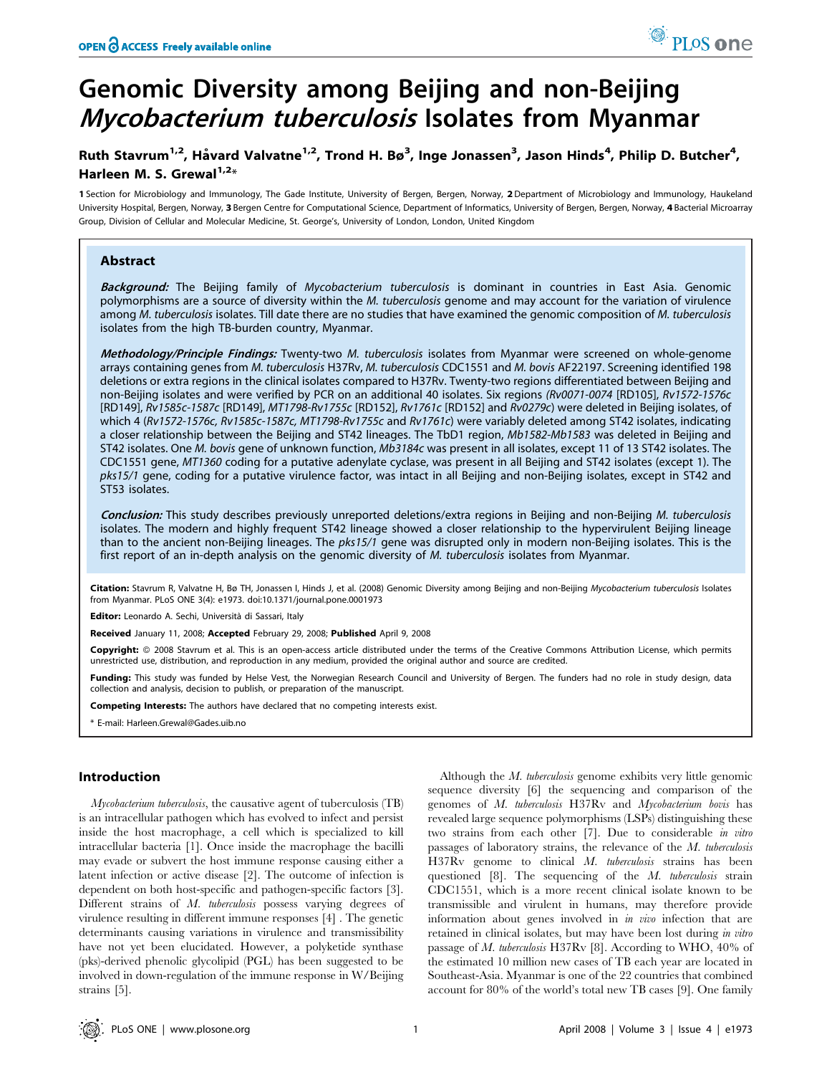# Genomic Diversity among Beijing and non-Beijing Mycobacterium tuberculosis Isolates from Myanmar

# Ruth Stavrum<sup>1,2</sup>, Håvard Valvatne<sup>1,2</sup>, Trond H. Bø<sup>3</sup>, Inge Jonassen<sup>3</sup>, Jason Hinds<sup>4</sup>, Philip D. Butcher<sup>4</sup>, Harleen M. S. Grewal<sup>1,2\*</sup>

1 Section for Microbiology and Immunology, The Gade Institute, University of Bergen, Bergen, Norway, 2 Department of Microbiology and Immunology, Haukeland University Hospital, Bergen, Norway, 3 Bergen Centre for Computational Science, Department of Informatics, University of Bergen, Bergen, Norway, 4 Bacterial Microarray Group, Division of Cellular and Molecular Medicine, St. George's, University of London, London, United Kingdom

# Abstract

Background: The Beijing family of Mycobacterium tuberculosis is dominant in countries in East Asia. Genomic polymorphisms are a source of diversity within the M. tuberculosis genome and may account for the variation of virulence among M. tuberculosis isolates. Till date there are no studies that have examined the genomic composition of M. tuberculosis isolates from the high TB-burden country, Myanmar.

Methodology/Principle Findings: Twenty-two M. tuberculosis isolates from Myanmar were screened on whole-genome arrays containing genes from M. tuberculosis H37Rv, M. tuberculosis CDC1551 and M. bovis AF22197. Screening identified 198 deletions or extra regions in the clinical isolates compared to H37Rv. Twenty-two regions differentiated between Beijing and non-Beijing isolates and were verified by PCR on an additional 40 isolates. Six regions (Rv0071-0074 [RD105], Rv1572-1576c [RD149], Rv1585c-1587c [RD149], MT1798-Rv1755c [RD152], Rv1761c [RD152] and Rv0279c) were deleted in Beijing isolates, of which 4 (Rv1572-1576c, Rv1585c-1587c, MT1798-Rv1755c and Rv1761c) were variably deleted among ST42 isolates, indicating a closer relationship between the Beijing and ST42 lineages. The TbD1 region, Mb1582-Mb1583 was deleted in Beijing and ST42 isolates. One M. bovis gene of unknown function, Mb3184c was present in all isolates, except 11 of 13 ST42 isolates. The CDC1551 gene, MT1360 coding for a putative adenylate cyclase, was present in all Beijing and ST42 isolates (except 1). The pks15/1 gene, coding for a putative virulence factor, was intact in all Beijing and non-Beijing isolates, except in ST42 and ST53 isolates.

Conclusion: This study describes previously unreported deletions/extra regions in Beijing and non-Beijing M. tuberculosis isolates. The modern and highly frequent ST42 lineage showed a closer relationship to the hypervirulent Beijing lineage than to the ancient non-Beijing lineages. The pks15/1 gene was disrupted only in modern non-Beijing isolates. This is the first report of an in-depth analysis on the genomic diversity of M. tuberculosis isolates from Myanmar.

Citation: Stavrum R, Valvatne H, Bø TH, Jonassen I, Hinds J, et al. (2008) Genomic Diversity among Beijing and non-Beijing Mycobacterium tuberculosis Isolates from Myanmar. PLoS ONE 3(4): e1973. doi:10.1371/journal.pone.0001973

Editor: Leonardo A. Sechi, Università di Sassari, Italy

Received January 11, 2008; Accepted February 29, 2008; Published April 9, 2008

Copyright: © 2008 Stavrum et al. This is an open-access article distributed under the terms of the Creative Commons Attribution License, which permits unrestricted use, distribution, and reproduction in any medium, provided the original author and source are credited.

Funding: This study was funded by Helse Vest, the Norwegian Research Council and University of Bergen. The funders had no role in study design, data collection and analysis, decision to publish, or preparation of the manuscript.

Competing Interests: The authors have declared that no competing interests exist.

\* E-mail: Harleen.Grewal@Gades.uib.no

# Introduction

Mycobacterium tuberculosis, the causative agent of tuberculosis (TB) is an intracellular pathogen which has evolved to infect and persist inside the host macrophage, a cell which is specialized to kill intracellular bacteria [1]. Once inside the macrophage the bacilli may evade or subvert the host immune response causing either a latent infection or active disease [2]. The outcome of infection is dependent on both host-specific and pathogen-specific factors [3]. Different strains of M. tuberculosis possess varying degrees of virulence resulting in different immune responses [4] . The genetic determinants causing variations in virulence and transmissibility have not yet been elucidated. However, a polyketide synthase (pks)-derived phenolic glycolipid (PGL) has been suggested to be involved in down-regulation of the immune response in W/Beijing strains [5].

Although the M. tuberculosis genome exhibits very little genomic sequence diversity [6] the sequencing and comparison of the genomes of M. tuberculosis H37Rv and Mycobacterium bovis has revealed large sequence polymorphisms (LSPs) distinguishing these two strains from each other [7]. Due to considerable in vitro passages of laboratory strains, the relevance of the M. tuberculosis H37Rv genome to clinical M. tuberculosis strains has been questioned [8]. The sequencing of the M. tuberculosis strain CDC1551, which is a more recent clinical isolate known to be transmissible and virulent in humans, may therefore provide information about genes involved in in vivo infection that are retained in clinical isolates, but may have been lost during in vitro passage of M. tuberculosis H37Rv [8]. According to WHO, 40% of the estimated 10 million new cases of TB each year are located in Southeast-Asia. Myanmar is one of the 22 countries that combined account for 80% of the world's total new TB cases [9]. One family

<sup>O</sup> PLoS one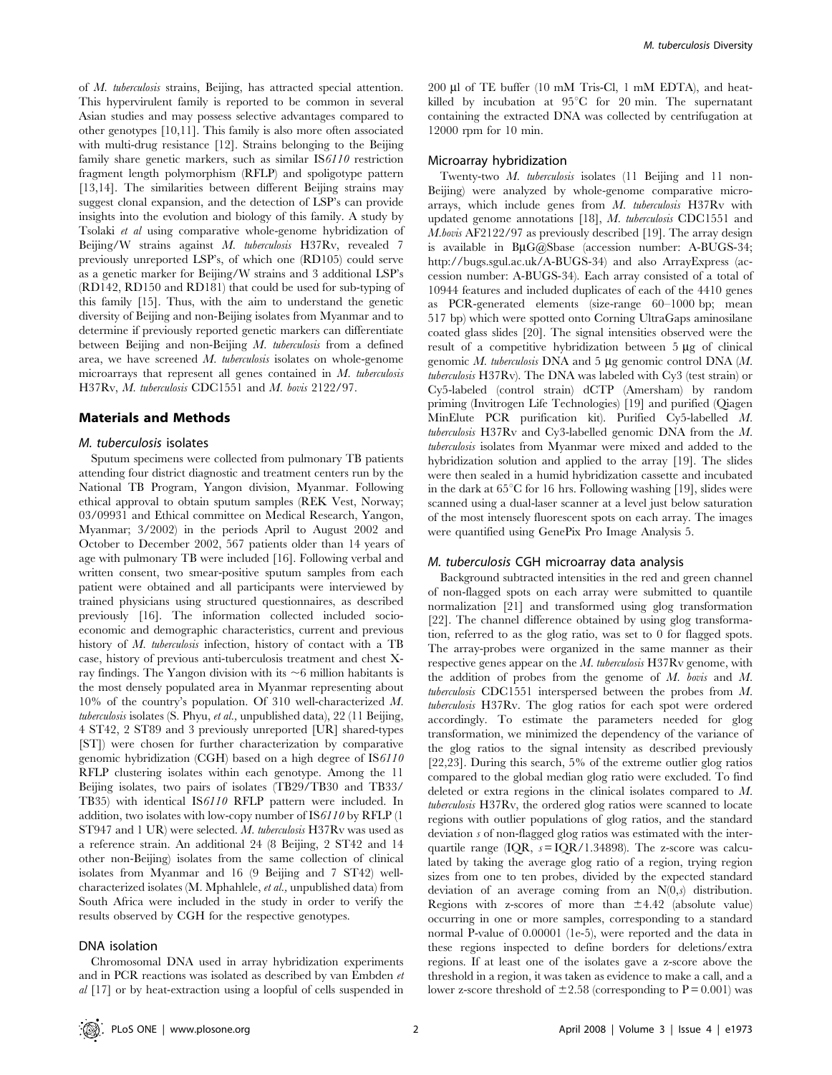of M. tuberculosis strains, Beijing, has attracted special attention. This hypervirulent family is reported to be common in several Asian studies and may possess selective advantages compared to other genotypes [10,11]. This family is also more often associated with multi-drug resistance [12]. Strains belonging to the Beijing family share genetic markers, such as similar IS6110 restriction fragment length polymorphism (RFLP) and spoligotype pattern [13,14]. The similarities between different Beijing strains may suggest clonal expansion, and the detection of LSP's can provide insights into the evolution and biology of this family. A study by Tsolaki et al using comparative whole-genome hybridization of Beijing/W strains against M. tuberculosis H37Rv, revealed 7 previously unreported LSP's, of which one (RD105) could serve as a genetic marker for Beijing/W strains and 3 additional LSP's (RD142, RD150 and RD181) that could be used for sub-typing of this family [15]. Thus, with the aim to understand the genetic diversity of Beijing and non-Beijing isolates from Myanmar and to determine if previously reported genetic markers can differentiate between Beijing and non-Beijing M. tuberculosis from a defined area, we have screened M. tuberculosis isolates on whole-genome microarrays that represent all genes contained in M. tuberculosis H37Rv, M. tuberculosis CDC1551 and M. bovis 2122/97.

#### Materials and Methods

# M. tuberculosis isolates

Sputum specimens were collected from pulmonary TB patients attending four district diagnostic and treatment centers run by the National TB Program, Yangon division, Myanmar. Following ethical approval to obtain sputum samples (REK Vest, Norway; 03/09931 and Ethical committee on Medical Research, Yangon, Myanmar; 3/2002) in the periods April to August 2002 and October to December 2002, 567 patients older than 14 years of age with pulmonary TB were included [16]. Following verbal and written consent, two smear-positive sputum samples from each patient were obtained and all participants were interviewed by trained physicians using structured questionnaires, as described previously [16]. The information collected included socioeconomic and demographic characteristics, current and previous history of M. tuberculosis infection, history of contact with a TB case, history of previous anti-tuberculosis treatment and chest Xray findings. The Yangon division with its  $\sim$ 6 million habitants is the most densely populated area in Myanmar representing about 10% of the country's population. Of 310 well-characterized M. tuberculosis isolates (S. Phyu, et al., unpublished data), 22 (11 Beijing, 4 ST42, 2 ST89 and 3 previously unreported [UR] shared-types [ST]) were chosen for further characterization by comparative genomic hybridization (CGH) based on a high degree of IS6110 RFLP clustering isolates within each genotype. Among the 11 Beijing isolates, two pairs of isolates (TB29/TB30 and TB33/ TB35) with identical IS6110 RFLP pattern were included. In addition, two isolates with low-copy number of IS6110 by RFLP (1 ST947 and 1 UR) were selected. M. tuberculosis H37Rv was used as a reference strain. An additional 24 (8 Beijing, 2 ST42 and 14 other non-Beijing) isolates from the same collection of clinical isolates from Myanmar and 16 (9 Beijing and 7 ST42) wellcharacterized isolates (M. Mphahlele, et al., unpublished data) from South Africa were included in the study in order to verify the results observed by CGH for the respective genotypes.

#### DNA isolation

Chromosomal DNA used in array hybridization experiments and in PCR reactions was isolated as described by van Embden et al [17] or by heat-extraction using a loopful of cells suspended in 200 µl of TE buffer (10 mM Tris-Cl, 1 mM EDTA), and heatkilled by incubation at  $95^{\circ}$ C for 20 min. The supernatant containing the extracted DNA was collected by centrifugation at 12000 rpm for 10 min.

# Microarray hybridization

Twenty-two M. tuberculosis isolates (11 Beijing and 11 non-Beijing) were analyzed by whole-genome comparative microarrays, which include genes from M. tuberculosis H37Rv with updated genome annotations [18], M. tuberculosis CDC1551 and M.bovis AF2122/97 as previously described [19]. The array design is available in  $B\mu G(\partial t)$ Sbase (accession number: A-BUGS-34; http://bugs.sgul.ac.uk/A-BUGS-34) and also ArrayExpress (accession number: A-BUGS-34). Each array consisted of a total of 10944 features and included duplicates of each of the 4410 genes as PCR-generated elements (size-range 60–1000 bp; mean 517 bp) which were spotted onto Corning UltraGaps aminosilane coated glass slides [20]. The signal intensities observed were the result of a competitive hybridization between  $5 \mu$ g of clinical genomic  $M$ . tuberculosis DNA and 5  $\mu$ g genomic control DNA ( $M$ . tuberculosis H37Rv). The DNA was labeled with Cy3 (test strain) or Cy5-labeled (control strain) dCTP (Amersham) by random priming (Invitrogen Life Technologies) [19] and purified (Qiagen MinElute PCR purification kit). Purified Cy5-labelled M. tuberculosis H37Rv and Cy3-labelled genomic DNA from the M. tuberculosis isolates from Myanmar were mixed and added to the hybridization solution and applied to the array [19]. The slides were then sealed in a humid hybridization cassette and incubated in the dark at  $65^{\circ}$ C for 16 hrs. Following washing [19], slides were scanned using a dual-laser scanner at a level just below saturation of the most intensely fluorescent spots on each array. The images were quantified using GenePix Pro Image Analysis 5.

#### M. tuberculosis CGH microarray data analysis

Background subtracted intensities in the red and green channel of non-flagged spots on each array were submitted to quantile normalization [21] and transformed using glog transformation [22]. The channel difference obtained by using glog transformation, referred to as the glog ratio, was set to 0 for flagged spots. The array-probes were organized in the same manner as their respective genes appear on the  $M$ . tuberculosis H37Rv genome, with the addition of probes from the genome of M. bovis and M. tuberculosis CDC1551 interspersed between the probes from M. tuberculosis H37Rv. The glog ratios for each spot were ordered accordingly. To estimate the parameters needed for glog transformation, we minimized the dependency of the variance of the glog ratios to the signal intensity as described previously [22,23]. During this search, 5% of the extreme outlier glog ratios compared to the global median glog ratio were excluded. To find deleted or extra regions in the clinical isolates compared to M. tuberculosis H37Rv, the ordered glog ratios were scanned to locate regions with outlier populations of glog ratios, and the standard deviation s of non-flagged glog ratios was estimated with the interquartile range (IQR,  $s = IQR/1.34898$ ). The z-score was calculated by taking the average glog ratio of a region, trying region sizes from one to ten probes, divided by the expected standard deviation of an average coming from an  $N(0,s)$  distribution. Regions with z-scores of more than  $\pm 4.42$  (absolute value) occurring in one or more samples, corresponding to a standard normal P-value of 0.00001 (1e-5), were reported and the data in these regions inspected to define borders for deletions/extra regions. If at least one of the isolates gave a z-score above the threshold in a region, it was taken as evidence to make a call, and a lower z-score threshold of  $\pm 2.58$  (corresponding to P = 0.001) was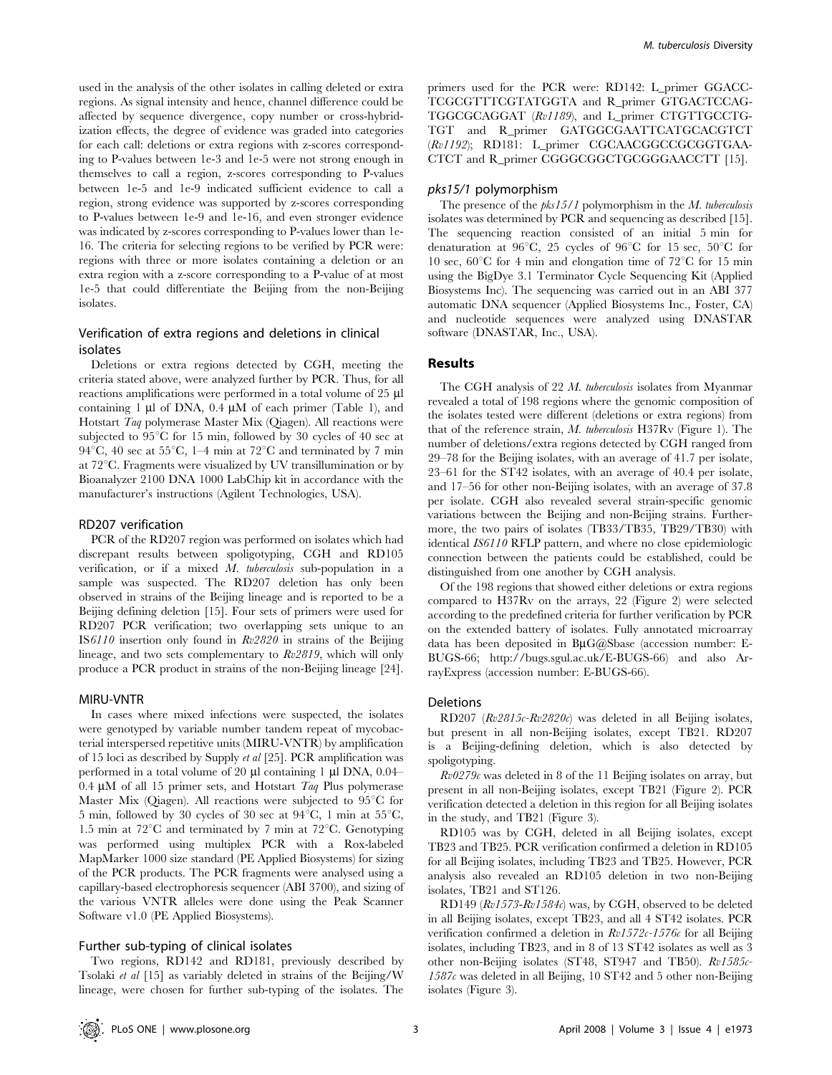used in the analysis of the other isolates in calling deleted or extra regions. As signal intensity and hence, channel difference could be affected by sequence divergence, copy number or cross-hybridization effects, the degree of evidence was graded into categories for each call: deletions or extra regions with z-scores corresponding to P-values between 1e-3 and 1e-5 were not strong enough in themselves to call a region, z-scores corresponding to P-values between 1e-5 and 1e-9 indicated sufficient evidence to call a region, strong evidence was supported by z-scores corresponding to P-values between 1e-9 and 1e-16, and even stronger evidence was indicated by z-scores corresponding to P-values lower than 1e-16. The criteria for selecting regions to be verified by PCR were: regions with three or more isolates containing a deletion or an extra region with a z-score corresponding to a P-value of at most 1e-5 that could differentiate the Beijing from the non-Beijing isolates.

# Verification of extra regions and deletions in clinical isolates

Deletions or extra regions detected by CGH, meeting the criteria stated above, were analyzed further by PCR. Thus, for all reactions amplifications were performed in a total volume of 25  $\mu$ l containing 1  $\mu$ l of DNA, 0.4  $\mu$ M of each primer (Table 1), and Hotstart Taq polymerase Master Mix (Qiagen). All reactions were subjected to  $95^{\circ}$ C for 15 min, followed by 30 cycles of 40 sec at 94 $^{\circ}$ C, 40 sec at 55 $^{\circ}$ C, 1–4 min at 72 $^{\circ}$ C and terminated by 7 min at  $72^{\circ}$ C. Fragments were visualized by UV transillumination or by Bioanalyzer 2100 DNA 1000 LabChip kit in accordance with the manufacturer's instructions (Agilent Technologies, USA).

# RD207 verification

PCR of the RD207 region was performed on isolates which had discrepant results between spoligotyping, CGH and RD105 verification, or if a mixed M. tuberculosis sub-population in a sample was suspected. The RD207 deletion has only been observed in strains of the Beijing lineage and is reported to be a Beijing defining deletion [15]. Four sets of primers were used for RD207 PCR verification; two overlapping sets unique to an IS6110 insertion only found in Rv2820 in strains of the Beijing lineage, and two sets complementary to Rv2819, which will only produce a PCR product in strains of the non-Beijing lineage [24].

#### MIRU-VNTR

In cases where mixed infections were suspected, the isolates were genotyped by variable number tandem repeat of mycobacterial interspersed repetitive units (MIRU-VNTR) by amplification of 15 loci as described by Supply et al [25]. PCR amplification was performed in a total volume of 20  $\mu$ l containing 1  $\mu$ l DNA, 0.04– 0.4  $\mu$ M of all 15 primer sets, and Hotstart Taq Plus polymerase Master Mix (Qiagen). All reactions were subjected to  $95^{\circ}$ C for 5 min, followed by 30 cycles of 30 sec at  $94^{\circ}$ C, 1 min at 55 $^{\circ}$ C, 1.5 min at  $72^{\circ}$ C and terminated by 7 min at  $72^{\circ}$ C. Genotyping was performed using multiplex PCR with a Rox-labeled MapMarker 1000 size standard (PE Applied Biosystems) for sizing of the PCR products. The PCR fragments were analysed using a capillary-based electrophoresis sequencer (ABI 3700), and sizing of the various VNTR alleles were done using the Peak Scanner Software v1.0 (PE Applied Biosystems).

#### Further sub-typing of clinical isolates

Two regions, RD142 and RD181, previously described by Tsolaki et al [15] as variably deleted in strains of the Beijing/W lineage, were chosen for further sub-typing of the isolates. The

primers used for the PCR were: RD142: L\_primer GGACC-TCGCGTTTCGTATGGTA and R\_primer GTGACTCCAG-TGGCGCAGGAT (Rv1189), and L\_primer CTGTTGCCTG-TGT and R\_primer GATGGCGAATTCATGCACGTCT (Rv1192); RD181: L\_primer CGCAACGGCCGCGGTGAA-CTCT and R\_primer CGGGCGGCTGCGGGAACCTT [15].

#### pks15/1 polymorphism

The presence of the  $pks15/1$  polymorphism in the  $M$ . tuberculosis isolates was determined by PCR and sequencing as described [15]. The sequencing reaction consisted of an initial 5 min for denaturation at  $96^{\circ}$ C, 25 cycles of  $96^{\circ}$ C for 15 sec,  $50^{\circ}$ C for 10 sec,  $60^{\circ}$ C for 4 min and elongation time of  $72^{\circ}$ C for 15 min using the BigDye 3.1 Terminator Cycle Sequencing Kit (Applied Biosystems Inc). The sequencing was carried out in an ABI 377 automatic DNA sequencer (Applied Biosystems Inc., Foster, CA) and nucleotide sequences were analyzed using DNASTAR software (DNASTAR, Inc., USA).

# Results

The CGH analysis of 22 M. tuberculosis isolates from Myanmar revealed a total of 198 regions where the genomic composition of the isolates tested were different (deletions or extra regions) from that of the reference strain, M. tuberculosis H37Rv (Figure 1). The number of deletions/extra regions detected by CGH ranged from 29–78 for the Beijing isolates, with an average of 41.7 per isolate, 23–61 for the ST42 isolates, with an average of 40.4 per isolate, and 17–56 for other non-Beijing isolates, with an average of 37.8 per isolate. CGH also revealed several strain-specific genomic variations between the Beijing and non-Beijing strains. Furthermore, the two pairs of isolates (TB33/TB35, TB29/TB30) with identical IS6110 RFLP pattern, and where no close epidemiologic connection between the patients could be established, could be distinguished from one another by CGH analysis.

Of the 198 regions that showed either deletions or extra regions compared to H37Rv on the arrays, 22 (Figure 2) were selected according to the predefined criteria for further verification by PCR on the extended battery of isolates. Fully annotated microarray data has been deposited in  $B\mu G\omega S$ base (accession number: E-BUGS-66; http://bugs.sgul.ac.uk/E-BUGS-66) and also ArrayExpress (accession number: E-BUGS-66).

#### Deletions

RD207 (Rv2815c-Rv2820c) was deleted in all Beijing isolates, but present in all non-Beijing isolates, except TB21. RD207 is a Beijing-defining deletion, which is also detected by spoligotyping.

 $Rv0279c$  was deleted in 8 of the 11 Beijing isolates on array, but present in all non-Beijing isolates, except TB21 (Figure 2). PCR verification detected a deletion in this region for all Beijing isolates in the study, and TB21 (Figure 3).

RD105 was by CGH, deleted in all Beijing isolates, except TB23 and TB25. PCR verification confirmed a deletion in RD105 for all Beijing isolates, including TB23 and TB25. However, PCR analysis also revealed an RD105 deletion in two non-Beijing isolates, TB21 and ST126.

RD149  $(Rv1573-Rv1584c)$  was, by CGH, observed to be deleted in all Beijing isolates, except TB23, and all 4 ST42 isolates. PCR verification confirmed a deletion in  $Rv1572c-1576c$  for all Beijing isolates, including TB23, and in 8 of 13 ST42 isolates as well as 3 other non-Beijing isolates (ST48, ST947 and TB50). Rv1585c-1587c was deleted in all Beijing, 10 ST42 and 5 other non-Beijing isolates (Figure 3).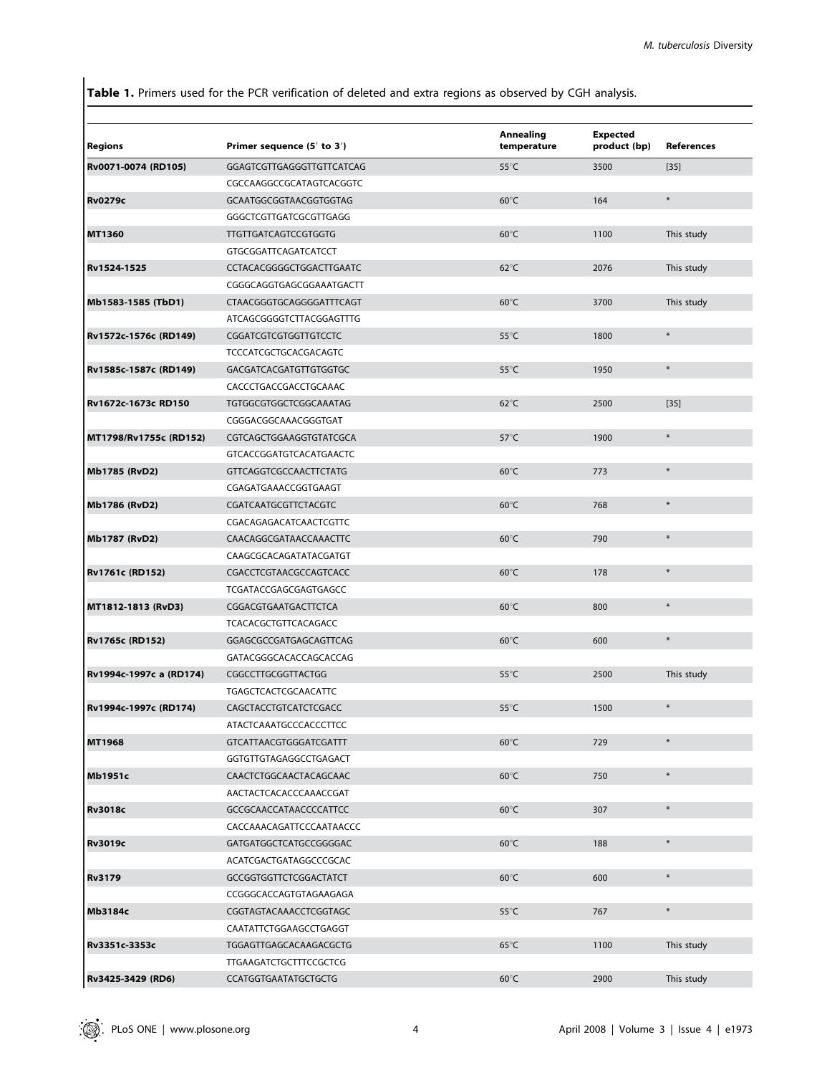Table 1. Primers used for the PCR verification of deleted and extra regions as observed by CGH analysis.

|                         |                                | Annealing      | <b>Expected</b> |            |
|-------------------------|--------------------------------|----------------|-----------------|------------|
| <b>Regions</b>          | Primer sequence (5' to 3')     | temperature    | product (bp)    | References |
| Rv0071-0074 (RD105)     | GGAGTCGTTGAGGGTTGTTCATCAG      | $55^{\circ}$ C | 3500            | $[35]$     |
|                         | CGCCAAGGCCGCATAGTCACGGTC       |                |                 |            |
| <b>Rv0279c</b>          | GCAATGGCGGTAACGGTGGTAG         | $60^{\circ}$ C | 164             | $\ast$     |
|                         | GGGCTCGTTGATCGCGTTGAGG         |                |                 |            |
| MT1360                  | <b>TTGTTGATCAGTCCGTGGTG</b>    | $60^{\circ}$ C | 1100            | This study |
|                         | GTGCGGATTCAGATCATCCT           |                |                 |            |
| Rv1524-1525             | CCTACACGGGGCTGGACTTGAATC       | $62^{\circ}$ C | 2076            | This study |
|                         | CGGGCAGGTGAGCGGAAATGACTT       |                |                 |            |
| Mb1583-1585 (TbD1)      | CTAACGGGTGCAGGGGATTTCAGT       | $60^{\circ}$ C | 3700            | This study |
|                         | ATCAGCGGGGTCTTACGGAGTTTG       |                |                 |            |
| Rv1572c-1576c (RD149)   | CGGATCGTCGTGGTTGTCCTC          | $55^{\circ}$ C | 1800            | $\ast$     |
|                         | TCCCATCGCTGCACGACAGTC          |                |                 |            |
| Rv1585c-1587c (RD149)   | GACGATCACGATGTTGTGGTGC         | $55^{\circ}$ C | 1950            | $\ast$     |
|                         | CACCCTGACCGACCTGCAAAC          |                |                 |            |
| Rv1672c-1673c RD150     | TGTGGCGTGGCTCGGCAAATAG         | $62^{\circ}$ C | 2500            | $[35]$     |
|                         | CGGGACGGCAAACGGGTGAT           |                |                 |            |
| MT1798/Rv1755c (RD152)  | CGTCAGCTGGAAGGTGTATCGCA        | $57^{\circ}$ C | 1900            | $\ast$     |
|                         | <b>GTCACCGGATGTCACATGAACTC</b> |                |                 |            |
| Mb1785 (RvD2)           | <b>GTTCAGGTCGCCAACTTCTATG</b>  | $60^{\circ}$ C | 773             | $\ast$     |
|                         | CGAGATGAAACCGGTGAAGT           |                |                 |            |
| Mb1786 (RvD2)           | CGATCAATGCGTTCTACGTC           | $60^{\circ}$ C | 768             | $\ast$     |
|                         | CGACAGAGACATCAACTCGTTC         |                |                 |            |
| Mb1787 (RvD2)           | CAACAGGCGATAACCAAACTTC         | $60^{\circ}$ C | 790             | $\ast$     |
|                         | CAAGCGCACAGATATACGATGT         |                |                 |            |
| <b>Rv1761c (RD152)</b>  | CGACCTCGTAACGCCAGTCACC         | $60^{\circ}$ C | 178             | $\ast$     |
|                         | TCGATACCGAGCGAGTGAGCC          |                |                 |            |
| MT1812-1813 (RvD3)      | CGGACGTGAATGACTTCTCA           | $60^{\circ}$ C | 800             | $\ast$     |
|                         | TCACACGCTGTTCACAGACC           |                |                 |            |
| Rv1765c (RD152)         | GGAGCGCCGATGAGCAGTTCAG         | $60^{\circ}$ C | 600             | $\ast$     |
|                         | GATACGGGCACACCAGCACCAG         |                |                 |            |
| Rv1994c-1997c a (RD174) | <b>CGGCCTTGCGGTTACTGG</b>      | $55^{\circ}$ C | 2500            | This study |
|                         | TGAGCTCACTCGCAACATTC           |                |                 |            |
| Rv1994c-1997c (RD174)   | CAGCTACCTGTCATCTCGACC          | $55^{\circ}$ C | 1500            | $\ast$     |
|                         | ATACTCAAATGCCCACCCTTCC         |                |                 |            |
| MT1968                  | GTCATTAACGTGGGATCGATTT         | $60^{\circ}$ C | 729             | $\ast$     |
|                         | GGTGTTGTAGAGGCCTGAGACT         |                |                 |            |
| Mb1951c                 | CAACTCTGGCAACTACAGCAAC         | $60^{\circ}$ C | 750             | $\ast$     |
|                         | AACTACTCACACCCAAACCGAT         |                |                 |            |
| <b>Rv3018c</b>          | GCCGCAACCATAACCCCATTCC         | $60^{\circ}$ C | 307             | $\ast$     |
|                         | CACCAAACAGATTCCCAATAACCC       |                |                 |            |
| <b>Rv3019c</b>          | GATGATGGCTCATGCCGGGGAC         | $60^{\circ}$ C | 188             | $\ast$     |
|                         | ACATCGACTGATAGGCCCGCAC         |                |                 |            |
| <b>Rv3179</b>           | GCCGGTGGTTCTCGGACTATCT         | $60^{\circ}$ C | 600             | $\ast$     |
|                         | CCGGGCACCAGTGTAGAAGAGA         |                |                 |            |
| Mb3184c                 | CGGTAGTACAAACCTCGGTAGC         | $55^{\circ}$ C | 767             | $\ast$     |
|                         | CAATATTCTGGAAGCCTGAGGT         |                |                 |            |
| Rv3351c-3353c           | TGGAGTTGAGCACAAGACGCTG         | $65^{\circ}$ C | 1100            | This study |
|                         | <b>TTGAAGATCTGCTTTCCGCTCG</b>  |                |                 |            |
| Rv3425-3429 (RD6)       | CCATGGTGAATATGCTGCTG           | $60^{\circ}$ C | 2900            | This study |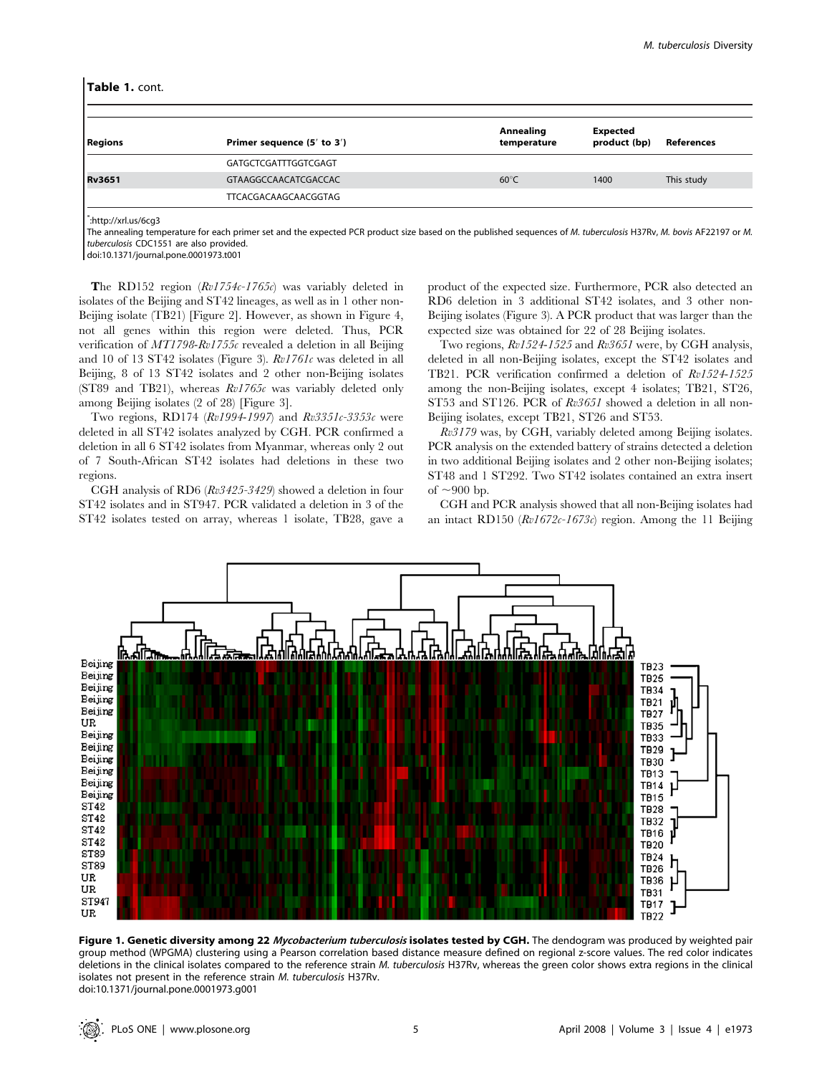#### Table 1. cont.

| Primer sequence (5' to 3') | Annealing<br>temperature | <b>Expected</b><br>product (bp) | References |
|----------------------------|--------------------------|---------------------------------|------------|
| GATGCTCGATTTGGTCGAGT       |                          |                                 |            |
| GTAAGGCCAACATCGACCAC       | $60^{\circ}$ C           | 1400                            | This study |
| TTCACGACAAGCAACGGTAG       |                          |                                 |            |
|                            |                          |                                 |            |

\* :http://xrl.us/6cg3

The annealing temperature for each primer set and the expected PCR product size based on the published sequences of M. tuberculosis H37Rv, M. bovis AF22197 or M. tuberculosis CDC1551 are also provided.

doi:10.1371/journal.pone.0001973.t001

The RD152 region  $(Rv1754c-1765c)$  was variably deleted in isolates of the Beijing and ST42 lineages, as well as in 1 other non-Beijing isolate (TB21) [Figure 2]. However, as shown in Figure 4, not all genes within this region were deleted. Thus, PCR verification of MT1798-Rv1755c revealed a deletion in all Beijing and 10 of 13 ST42 isolates (Figure 3). Rv1761c was deleted in all Beijing, 8 of 13 ST42 isolates and 2 other non-Beijing isolates (ST89 and TB21), whereas  $Rv1765c$  was variably deleted only among Beijing isolates (2 of 28) [Figure 3].

Two regions, RD174  $(Rv1994-1997)$  and  $Rv3351c-3353c$  were deleted in all ST42 isolates analyzed by CGH. PCR confirmed a deletion in all 6 ST42 isolates from Myanmar, whereas only 2 out of 7 South-African ST42 isolates had deletions in these two regions.

CGH analysis of RD6 (Rv3425-3429) showed a deletion in four ST42 isolates and in ST947. PCR validated a deletion in 3 of the ST42 isolates tested on array, whereas 1 isolate, TB28, gave a

product of the expected size. Furthermore, PCR also detected an RD6 deletion in 3 additional ST42 isolates, and 3 other non-Beijing isolates (Figure 3). A PCR product that was larger than the expected size was obtained for 22 of 28 Beijing isolates.

Two regions, Rv1524-1525 and Rv3651 were, by CGH analysis, deleted in all non-Beijing isolates, except the ST42 isolates and TB21. PCR verification confirmed a deletion of Rv1524-1525 among the non-Beijing isolates, except 4 isolates; TB21, ST26, ST53 and ST126. PCR of  $Rv3651$  showed a deletion in all non-Beijing isolates, except TB21, ST26 and ST53.

Rv3179 was, by CGH, variably deleted among Beijing isolates. PCR analysis on the extended battery of strains detected a deletion in two additional Beijing isolates and 2 other non-Beijing isolates; ST48 and 1 ST292. Two ST42 isolates contained an extra insert of  $\sim$ 900 bp.

CGH and PCR analysis showed that all non-Beijing isolates had an intact RD150 (Rv1672c-1673c) region. Among the 11 Beijing



Figure 1. Genetic diversity among 22 Mycobacterium tuberculosis isolates tested by CGH. The dendogram was produced by weighted pair group method (WPGMA) clustering using a Pearson correlation based distance measure defined on regional z-score values. The red color indicates deletions in the clinical isolates compared to the reference strain M. tuberculosis H37Rv, whereas the green color shows extra regions in the clinical isolates not present in the reference strain M. tuberculosis H37Rv. doi:10.1371/journal.pone.0001973.g001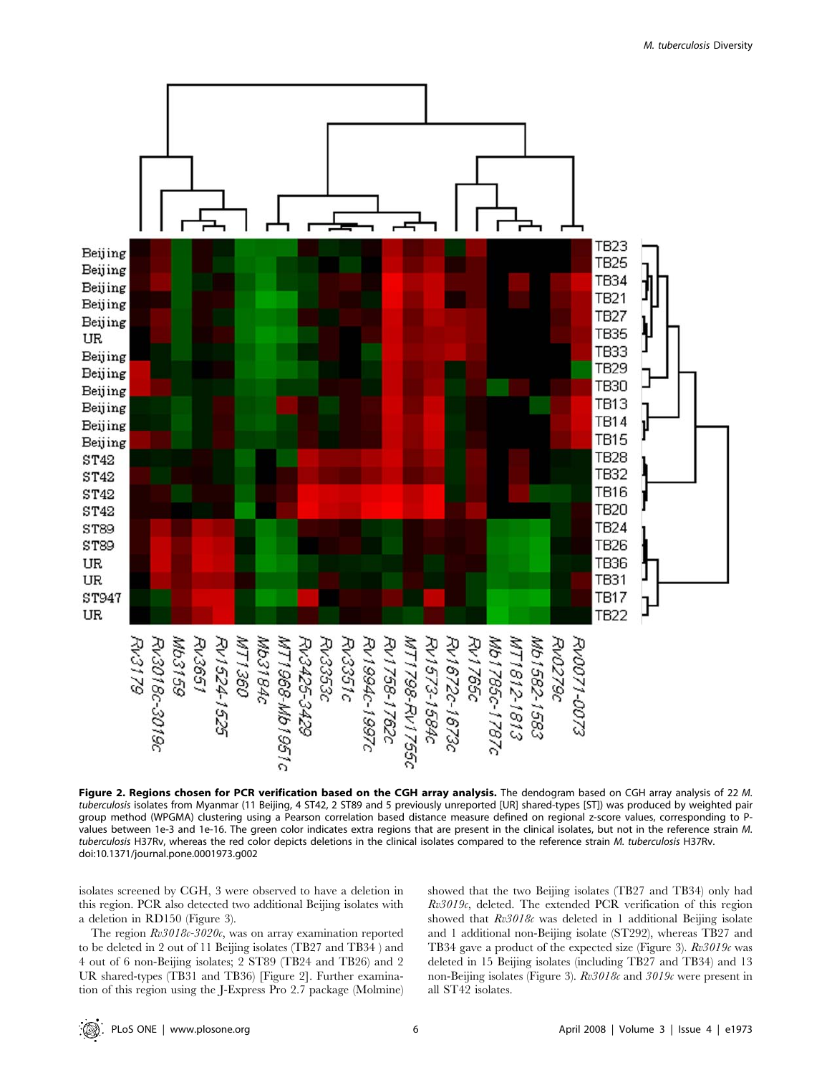

M. tuberculosis Diversity

Figure 2. Regions chosen for PCR verification based on the CGH array analysis. The dendogram based on CGH array analysis of 22 M. tuberculosis isolates from Myanmar (11 Beijing, 4 ST42, 2 ST89 and 5 previously unreported [UR] shared-types [ST]) was produced by weighted pair group method (WPGMA) clustering using a Pearson correlation based distance measure defined on regional z-score values, corresponding to Pvalues between 1e-3 and 1e-16. The green color indicates extra regions that are present in the clinical isolates, but not in the reference strain M. tuberculosis H37Rv, whereas the red color depicts deletions in the clinical isolates compared to the reference strain M. tuberculosis H37Rv. doi:10.1371/journal.pone.0001973.g002

isolates screened by CGH, 3 were observed to have a deletion in this region. PCR also detected two additional Beijing isolates with a deletion in RD150 (Figure 3).

The region  $Rv3018c-3020c$ , was on array examination reported to be deleted in 2 out of 11 Beijing isolates (TB27 and TB34 ) and 4 out of 6 non-Beijing isolates; 2 ST89 (TB24 and TB26) and 2 UR shared-types (TB31 and TB36) [Figure 2]. Further examination of this region using the J-Express Pro 2.7 package (Molmine)

showed that the two Beijing isolates (TB27 and TB34) only had  $Rv3019c$ , deleted. The extended PCR verification of this region showed that  $Rv3018c$  was deleted in 1 additional Beijing isolate and 1 additional non-Beijing isolate (ST292), whereas TB27 and TB34 gave a product of the expected size (Figure 3).  $Rv3019c$  was deleted in 15 Beijing isolates (including TB27 and TB34) and 13 non-Beijing isolates (Figure 3). Rv3018c and 3019c were present in all ST42 isolates.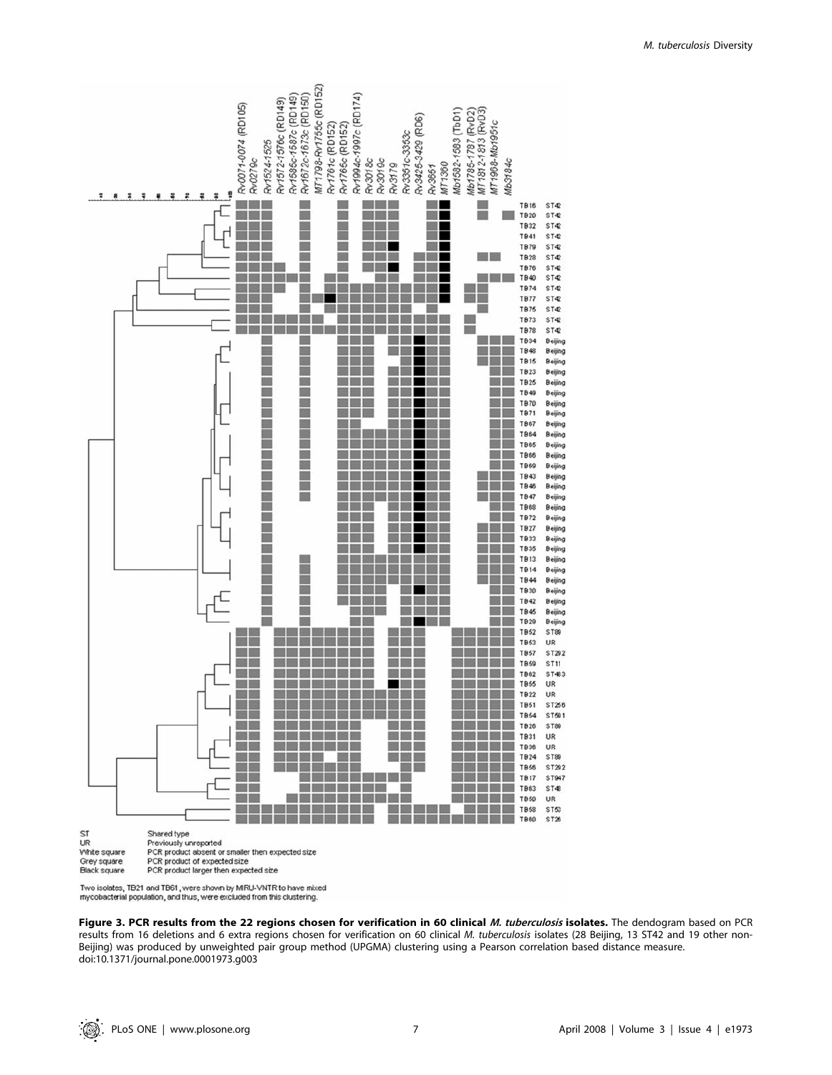

mycobacterial population, and thus, were excluded from this clustering.

Figure 3. PCR results from the 22 regions chosen for verification in 60 clinical M. tuberculosis isolates. The dendogram based on PCR results from 16 deletions and 6 extra regions chosen for verification on 60 clinical M. tuberculosis isolates (28 Beijing, 13 ST42 and 19 other non-Beijing) was produced by unweighted pair group method (UPGMA) clustering using a Pearson correlation based distance measure. doi:10.1371/journal.pone.0001973.g003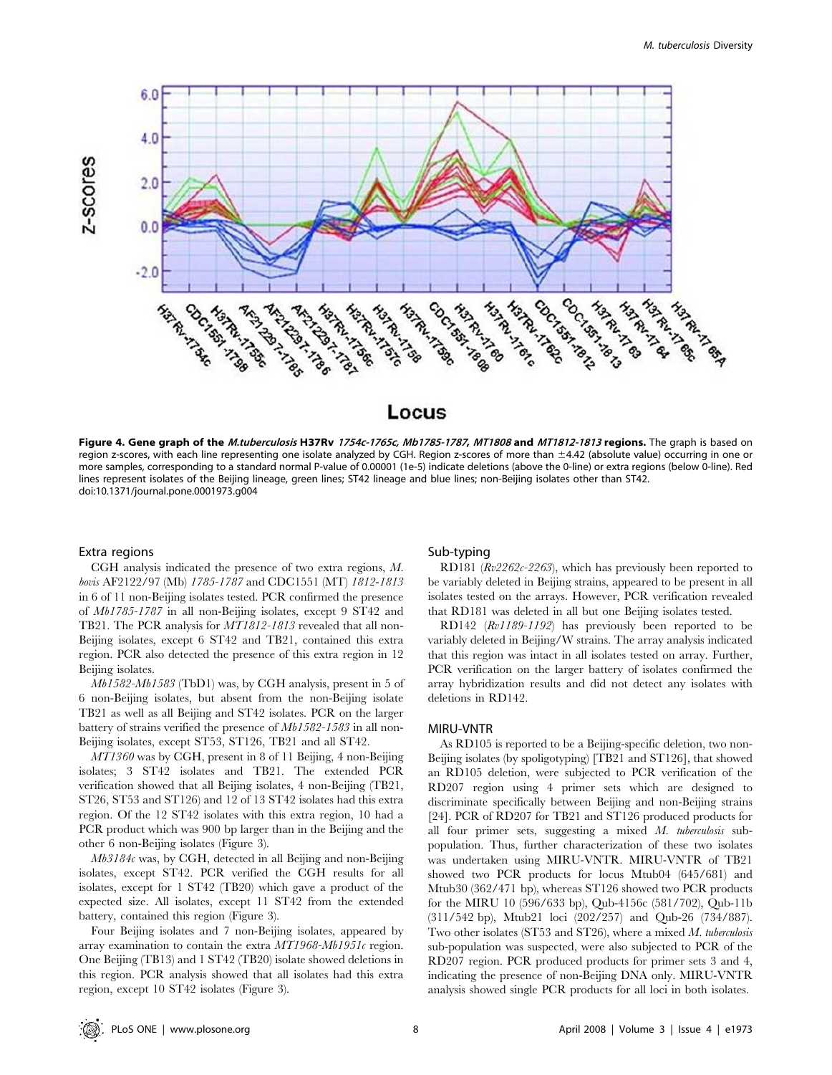

# Locus

Figure 4. Gene graph of the M.tuberculosis H37Rv 1754c-1765c, Mb1785-1787, MT1808 and MT1812-1813 regions. The graph is based on region z-scores, with each line representing one isolate analyzed by CGH. Region z-scores of more than ±4.42 (absolute value) occurring in one or more samples, corresponding to a standard normal P-value of 0.00001 (1e-5) indicate deletions (above the 0-line) or extra regions (below 0-line). Red lines represent isolates of the Beijing lineage, green lines; ST42 lineage and blue lines; non-Beijing isolates other than ST42. doi:10.1371/journal.pone.0001973.g004

#### Extra regions

CGH analysis indicated the presence of two extra regions, M. bovis AF2122/97 (Mb) 1785-1787 and CDC1551 (MT) 1812-1813 in 6 of 11 non-Beijing isolates tested. PCR confirmed the presence of Mb1785-1787 in all non-Beijing isolates, except 9 ST42 and TB21. The PCR analysis for MT1812-1813 revealed that all non-Beijing isolates, except 6 ST42 and TB21, contained this extra region. PCR also detected the presence of this extra region in 12 Beijing isolates.

Mb1582-Mb1583 (TbD1) was, by CGH analysis, present in 5 of 6 non-Beijing isolates, but absent from the non-Beijing isolate TB21 as well as all Beijing and ST42 isolates. PCR on the larger battery of strains verified the presence of Mb1582-1583 in all non-Beijing isolates, except ST53, ST126, TB21 and all ST42.

MT1360 was by CGH, present in 8 of 11 Beijing, 4 non-Beijing isolates; 3 ST42 isolates and TB21. The extended PCR verification showed that all Beijing isolates, 4 non-Beijing (TB21, ST26, ST53 and ST126) and 12 of 13 ST42 isolates had this extra region. Of the 12 ST42 isolates with this extra region, 10 had a PCR product which was 900 bp larger than in the Beijing and the other 6 non-Beijing isolates (Figure 3).

 $Mb3184c$  was, by CGH, detected in all Beijing and non-Beijing isolates, except ST42. PCR verified the CGH results for all isolates, except for 1 ST42 (TB20) which gave a product of the expected size. All isolates, except 11 ST42 from the extended battery, contained this region (Figure 3).

Four Beijing isolates and 7 non-Beijing isolates, appeared by array examination to contain the extra MT1968-Mb1951c region. One Beijing (TB13) and 1 ST42 (TB20) isolate showed deletions in this region. PCR analysis showed that all isolates had this extra region, except 10 ST42 isolates (Figure 3).

## Sub-typing

RD181 (Rv2262c-2263), which has previously been reported to be variably deleted in Beijing strains, appeared to be present in all isolates tested on the arrays. However, PCR verification revealed that RD181 was deleted in all but one Beijing isolates tested.

RD142 (Rv1189-1192) has previously been reported to be variably deleted in Beijing/W strains. The array analysis indicated that this region was intact in all isolates tested on array. Further, PCR verification on the larger battery of isolates confirmed the array hybridization results and did not detect any isolates with deletions in RD142.

# MIRU-VNTR

As RD105 is reported to be a Beijing-specific deletion, two non-Beijing isolates (by spoligotyping) [TB21 and ST126], that showed an RD105 deletion, were subjected to PCR verification of the RD207 region using 4 primer sets which are designed to discriminate specifically between Beijing and non-Beijing strains [24]. PCR of RD207 for TB21 and ST126 produced products for all four primer sets, suggesting a mixed M. tuberculosis subpopulation. Thus, further characterization of these two isolates was undertaken using MIRU-VNTR. MIRU-VNTR of TB21 showed two PCR products for locus Mtub04 (645/681) and Mtub30 (362/471 bp), whereas ST126 showed two PCR products for the MIRU 10 (596/633 bp), Qub-4156c (581/702), Qub-11b (311/542 bp), Mtub21 loci (202/257) and Qub-26 (734/887). Two other isolates (ST53 and ST26), where a mixed M. tuberculosis sub-population was suspected, were also subjected to PCR of the RD207 region. PCR produced products for primer sets 3 and 4, indicating the presence of non-Beijing DNA only. MIRU-VNTR analysis showed single PCR products for all loci in both isolates.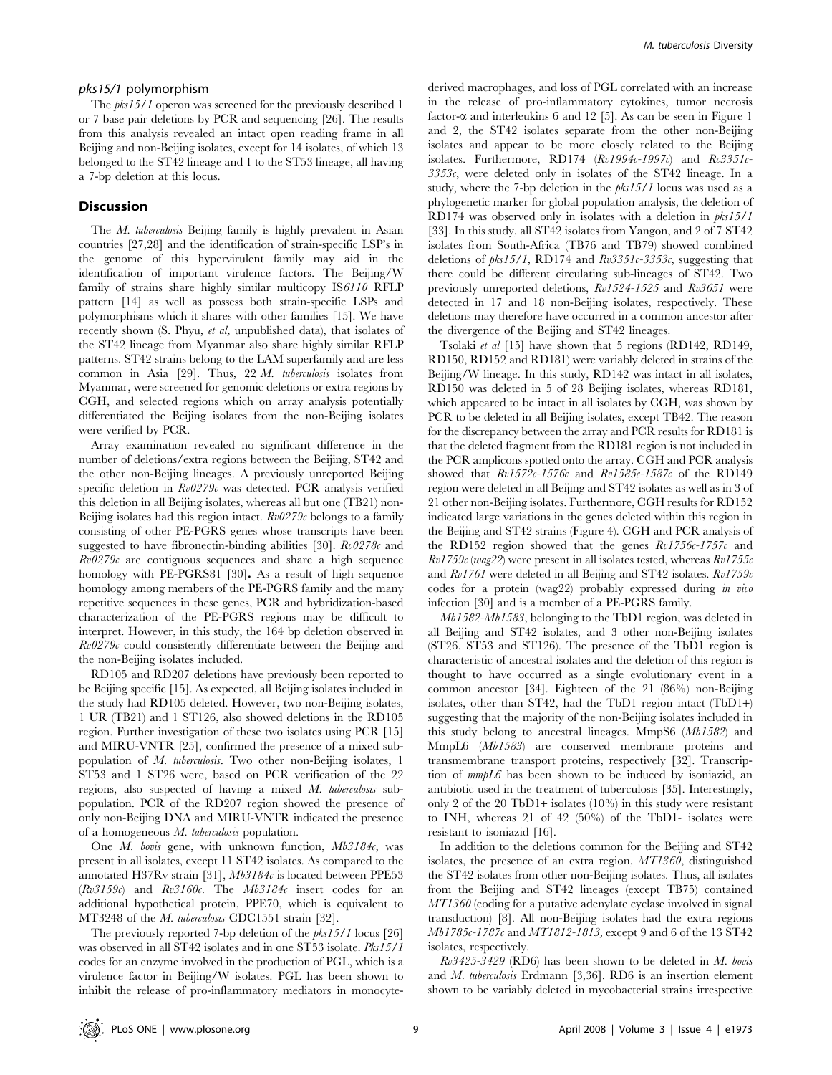### pks15/1 polymorphism

The *pks15/1* operon was screened for the previously described 1 or 7 base pair deletions by PCR and sequencing [26]. The results from this analysis revealed an intact open reading frame in all Beijing and non-Beijing isolates, except for 14 isolates, of which 13 belonged to the ST42 lineage and 1 to the ST53 lineage, all having a 7-bp deletion at this locus.

# **Discussion**

The M. tuberculosis Beijing family is highly prevalent in Asian countries [27,28] and the identification of strain-specific LSP's in the genome of this hypervirulent family may aid in the identification of important virulence factors. The Beijing/W family of strains share highly similar multicopy IS6110 RFLP pattern [14] as well as possess both strain-specific LSPs and polymorphisms which it shares with other families [15]. We have recently shown (S. Phyu, et al, unpublished data), that isolates of the ST42 lineage from Myanmar also share highly similar RFLP patterns. ST42 strains belong to the LAM superfamily and are less common in Asia [29]. Thus, 22 M. tuberculosis isolates from Myanmar, were screened for genomic deletions or extra regions by CGH, and selected regions which on array analysis potentially differentiated the Beijing isolates from the non-Beijing isolates were verified by PCR.

Array examination revealed no significant difference in the number of deletions/extra regions between the Beijing, ST42 and the other non-Beijing lineages. A previously unreported Beijing specific deletion in  $Rv0279c$  was detected. PCR analysis verified this deletion in all Beijing isolates, whereas all but one (TB21) non-Beijing isolates had this region intact.  $Rv0279c$  belongs to a family consisting of other PE-PGRS genes whose transcripts have been suggested to have fibronectin-binding abilities [30].  $Rv0278c$  and  $Rv0279c$  are contiguous sequences and share a high sequence homology with PE-PGRS81 [30]. As a result of high sequence homology among members of the PE-PGRS family and the many repetitive sequences in these genes, PCR and hybridization-based characterization of the PE-PGRS regions may be difficult to interpret. However, in this study, the 164 bp deletion observed in  $Rv0279c$  could consistently differentiate between the Beijing and the non-Beijing isolates included.

RD105 and RD207 deletions have previously been reported to be Beijing specific [15]. As expected, all Beijing isolates included in the study had RD105 deleted. However, two non-Beijing isolates, 1 UR (TB21) and 1 ST126, also showed deletions in the RD105 region. Further investigation of these two isolates using PCR [15] and MIRU-VNTR [25], confirmed the presence of a mixed subpopulation of M. tuberculosis. Two other non-Beijing isolates, 1 ST53 and 1 ST26 were, based on PCR verification of the 22 regions, also suspected of having a mixed M. tuberculosis subpopulation. PCR of the RD207 region showed the presence of only non-Beijing DNA and MIRU-VNTR indicated the presence of a homogeneous M. tuberculosis population.

One M. bovis gene, with unknown function, Mb3184c, was present in all isolates, except 11 ST42 isolates. As compared to the annotated H37Rv strain [31], Mb3184c is located between PPE53 (Rv3159c) and Rv3160c. The Mb3184c insert codes for an additional hypothetical protein, PPE70, which is equivalent to MT3248 of the M. tuberculosis CDC1551 strain [32].

The previously reported 7-bp deletion of the  $pks15/1$  locus [26] was observed in all ST42 isolates and in one ST53 isolate. Pks15/1 codes for an enzyme involved in the production of PGL, which is a virulence factor in Beijing/W isolates. PGL has been shown to inhibit the release of pro-inflammatory mediators in monocytederived macrophages, and loss of PGL correlated with an increase in the release of pro-inflammatory cytokines, tumor necrosis factor- $\alpha$  and interleukins 6 and 12 [5]. As can be seen in Figure 1 and 2, the ST42 isolates separate from the other non-Beijing isolates and appear to be more closely related to the Beijing isolates. Furthermore, RD174  $(Rv1994c-1997c)$  and  $Rv3351c 3353c$ , were deleted only in isolates of the ST42 lineage. In a study, where the 7-bp deletion in the  $pks15/1$  locus was used as a phylogenetic marker for global population analysis, the deletion of RD174 was observed only in isolates with a deletion in pks15/1 [33]. In this study, all ST42 isolates from Yangon, and 2 of 7 ST42 isolates from South-Africa (TB76 and TB79) showed combined deletions of  $pks15/1$ , RD174 and  $Rv3351c-3353c$ , suggesting that there could be different circulating sub-lineages of ST42. Two previously unreported deletions, Rv1524-1525 and Rv3651 were detected in 17 and 18 non-Beijing isolates, respectively. These deletions may therefore have occurred in a common ancestor after the divergence of the Beijing and ST42 lineages.

Tsolaki et al [15] have shown that 5 regions (RD142, RD149, RD150, RD152 and RD181) were variably deleted in strains of the Beijing/W lineage. In this study, RD142 was intact in all isolates, RD150 was deleted in 5 of 28 Beijing isolates, whereas RD181, which appeared to be intact in all isolates by CGH, was shown by PCR to be deleted in all Beijing isolates, except TB42. The reason for the discrepancy between the array and PCR results for RD181 is that the deleted fragment from the RD181 region is not included in the PCR amplicons spotted onto the array. CGH and PCR analysis showed that Rv1572c-1576c and Rv1585c-1587c of the RD149 region were deleted in all Beijing and ST42 isolates as well as in 3 of 21 other non-Beijing isolates. Furthermore, CGH results for RD152 indicated large variations in the genes deleted within this region in the Beijing and ST42 strains (Figure 4). CGH and PCR analysis of the RD152 region showed that the genes  $Rv1756c-1757c$  and  $Rv1759c$  (wag22) were present in all isolates tested, whereas  $Rv1755c$ and  $Rv1761$  were deleted in all Beijing and ST42 isolates.  $Rv1759c$ codes for a protein (wag22) probably expressed during in vivo infection [30] and is a member of a PE-PGRS family.

Mb1582-Mb1583, belonging to the TbD1 region, was deleted in all Beijing and ST42 isolates, and 3 other non-Beijing isolates (ST26, ST53 and ST126). The presence of the TbD1 region is characteristic of ancestral isolates and the deletion of this region is thought to have occurred as a single evolutionary event in a common ancestor [34]. Eighteen of the 21 (86%) non-Beijing isolates, other than ST42, had the TbD1 region intact (TbD1+) suggesting that the majority of the non-Beijing isolates included in this study belong to ancestral lineages. MmpS6 (Mb1582) and MmpL6 (Mb1583) are conserved membrane proteins and transmembrane transport proteins, respectively [32]. Transcription of mmpL6 has been shown to be induced by isoniazid, an antibiotic used in the treatment of tuberculosis [35]. Interestingly, only 2 of the 20 TbD1+ isolates  $(10\%)$  in this study were resistant to INH, whereas 21 of 42 (50%) of the TbD1- isolates were resistant to isoniazid [16].

In addition to the deletions common for the Beijing and ST42 isolates, the presence of an extra region, MT1360, distinguished the ST42 isolates from other non-Beijing isolates. Thus, all isolates from the Beijing and ST42 lineages (except TB75) contained MT1360 (coding for a putative adenylate cyclase involved in signal transduction) [8]. All non-Beijing isolates had the extra regions Mb1785c-1787c and MT1812-1813, except 9 and 6 of the 13 ST42 isolates, respectively.

 $Rv3425-3429$  (RD6) has been shown to be deleted in M. bovis and M. tuberculosis Erdmann [3,36]. RD6 is an insertion element shown to be variably deleted in mycobacterial strains irrespective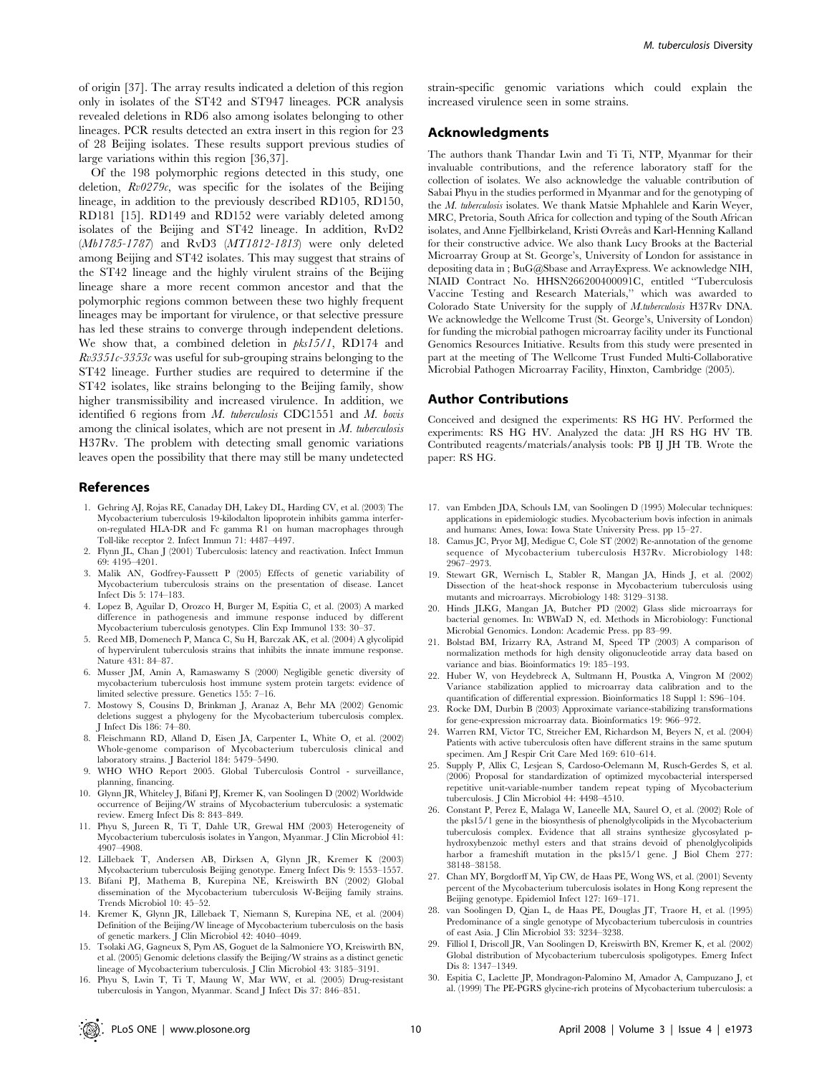of origin [37]. The array results indicated a deletion of this region only in isolates of the ST42 and ST947 lineages. PCR analysis revealed deletions in RD6 also among isolates belonging to other lineages. PCR results detected an extra insert in this region for 23 of 28 Beijing isolates. These results support previous studies of large variations within this region [36,37].

Of the 198 polymorphic regions detected in this study, one deletion,  $Rv0279c$ , was specific for the isolates of the Beijing lineage, in addition to the previously described RD105, RD150, RD181 [15]. RD149 and RD152 were variably deleted among isolates of the Beijing and ST42 lineage. In addition, RvD2 (Mb1785-1787) and RvD3 (MT1812-1813) were only deleted among Beijing and ST42 isolates. This may suggest that strains of the ST42 lineage and the highly virulent strains of the Beijing lineage share a more recent common ancestor and that the polymorphic regions common between these two highly frequent lineages may be important for virulence, or that selective pressure has led these strains to converge through independent deletions. We show that, a combined deletion in  $pks15/1$ , RD174 and  $Rv3351c-3353c$  was useful for sub-grouping strains belonging to the ST42 lineage. Further studies are required to determine if the ST42 isolates, like strains belonging to the Beijing family, show higher transmissibility and increased virulence. In addition, we identified  $6$  regions from  $M$ . tuberculosis CDC1551 and  $M$ . bovis among the clinical isolates, which are not present in  $M$ . tuberculosis H37Rv. The problem with detecting small genomic variations leaves open the possibility that there may still be many undetected

#### References

- 1. Gehring AJ, Rojas RE, Canaday DH, Lakey DL, Harding CV, et al. (2003) The Mycobacterium tuberculosis 19-kilodalton lipoprotein inhibits gamma interferon-regulated HLA-DR and Fc gamma R1 on human macrophages through Toll-like receptor 2. Infect Immun 71: 4487–4497.
- 2. Flynn JL, Chan J (2001) Tuberculosis: latency and reactivation. Infect Immun 69: 4195–4201.
- 3. Malik AN, Godfrey-Faussett P (2005) Effects of genetic variability of Mycobacterium tuberculosis strains on the presentation of disease. Lancet Infect Dis 5: 174–183.
- 4. Lopez B, Aguilar D, Orozco H, Burger M, Espitia C, et al. (2003) A marked difference in pathogenesis and immune response induced by different Mycobacterium tuberculosis genotypes. Clin Exp Immunol 133: 30–37.
- 5. Reed MB, Domenech P, Manca C, Su H, Barczak AK, et al. (2004) A glycolipid of hypervirulent tuberculosis strains that inhibits the innate immune response. Nature 431: 84–87.
- 6. Musser JM, Amin A, Ramaswamy S (2000) Negligible genetic diversity of mycobacterium tuberculosis host immune system protein targets: evidence of limited selective pressure. Genetics 155: 7–16.
- 7. Mostowy S, Cousins D, Brinkman J, Aranaz A, Behr MA (2002) Genomic deletions suggest a phylogeny for the Mycobacterium tuberculosis complex. J Infect Dis 186: 74–80.
- 8. Fleischmann RD, Alland D, Eisen JA, Carpenter L, White O, et al. (2002) Whole-genome comparison of Mycobacterium tuberculosis clinical and laboratory strains. J Bacteriol 184: 5479–5490.
- 9. WHO WHO Report 2005. Global Tuberculosis Control surveillance, planning, financing.
- 10. Glynn JR, Whiteley J, Bifani PJ, Kremer K, van Soolingen D (2002) Worldwide occurrence of Beijing/W strains of Mycobacterium tuberculosis: a systematic review. Emerg Infect Dis 8: 843–849.
- 11. Phyu S, Jureen R, Ti T, Dahle UR, Grewal HM (2003) Heterogeneity of Mycobacterium tuberculosis isolates in Yangon, Myanmar. J Clin Microbiol 41: 4907–4908.
- 12. Lillebaek T, Andersen AB, Dirksen A, Glynn JR, Kremer K (2003) Mycobacterium tuberculosis Beijing genotype. Emerg Infect Dis 9: 1553–1557.
- 13. Bifani PJ, Mathema B, Kurepina NE, Kreiswirth BN (2002) Global dissemination of the Mycobacterium tuberculosis W-Beijing family strains. Trends Microbiol 10: 45–52.
- 14. Kremer K, Glynn JR, Lillebaek T, Niemann S, Kurepina NE, et al. (2004) Definition of the Beijing/W lineage of Mycobacterium tuberculosis on the basis of genetic markers. J Clin Microbiol 42: 4040–4049.
- 15. Tsolaki AG, Gagneux S, Pym AS, Goguet de la Salmoniere YO, Kreiswirth BN, et al. (2005) Genomic deletions classify the Beijing/W strains as a distinct genetic lineage of Mycobacterium tuberculosis. J Clin Microbiol 43: 3185–3191.
- 16. Phyu S, Lwin T, Ti T, Maung W, Mar WW, et al. (2005) Drug-resistant tuberculosis in Yangon, Myanmar. Scand J Infect Dis 37: 846–851.

strain-specific genomic variations which could explain the increased virulence seen in some strains.

# Acknowledgments

The authors thank Thandar Lwin and Ti Ti, NTP, Myanmar for their invaluable contributions, and the reference laboratory staff for the collection of isolates. We also acknowledge the valuable contribution of Sabai Phyu in the studies performed in Myanmar and for the genotyping of the M. tuberculosis isolates. We thank Matsie Mphahlele and Karin Weyer, MRC, Pretoria, South Africa for collection and typing of the South African isolates, and Anne Fjellbirkeland, Kristi Øvreås and Karl-Henning Kalland for their constructive advice. We also thank Lucy Brooks at the Bacterial Microarray Group at St. George's, University of London for assistance in depositing data in ; BuG@Sbase and ArrayExpress. We acknowledge NIH, NIAID Contract No. HHSN266200400091C, entitled ''Tuberculosis Vaccine Testing and Research Materials,'' which was awarded to Colorado State University for the supply of M.tuberculosis H37Rv DNA. We acknowledge the Wellcome Trust (St. George's, University of London) for funding the microbial pathogen microarray facility under its Functional Genomics Resources Initiative. Results from this study were presented in part at the meeting of The Wellcome Trust Funded Multi-Collaborative Microbial Pathogen Microarray Facility, Hinxton, Cambridge (2005).

#### Author Contributions

Conceived and designed the experiments: RS HG HV. Performed the experiments: RS HG HV. Analyzed the data: JH RS HG HV TB. Contributed reagents/materials/analysis tools: PB IJ JH TB. Wrote the paper: RS HG.

- 17. van Embden JDA, Schouls LM, van Soolingen D (1995) Molecular techniques: applications in epidemiologic studies. Mycobacterium bovis infection in animals and humans: Ames, Iowa: Iowa State University Press. pp 15–27.
- 18. Camus JC, Pryor MJ, Medigue C, Cole ST (2002) Re-annotation of the genome sequence of Mycobacterium tuberculosis H37Ry. Microbiology 148: 2967–2973.
- 19. Stewart GR, Wernisch L, Stabler R, Mangan JA, Hinds J, et al. (2002) Dissection of the heat-shock response in Mycobacterium tuberculosis using mutants and microarrays. Microbiology 148: 3129–3138.
- 20. Hinds JLKG, Mangan JA, Butcher PD (2002) Glass slide microarrays for bacterial genomes. In: WBWaD N, ed. Methods in Microbiology: Functional Microbial Genomics. London: Academic Press. pp 83–99.
- 21. Bolstad BM, Irizarry RA, Astrand M, Speed TP (2003) A comparison of normalization methods for high density oligonucleotide array data based on variance and bias. Bioinformatics 19: 185–193.
- 22. Huber W, von Heydebreck A, Sultmann H, Poustka A, Vingron M (2002) Variance stabilization applied to microarray data calibration and to the quantification of differential expression. Bioinformatics 18 Suppl 1: S96–104.
- 23. Rocke DM, Durbin B (2003) Approximate variance-stabilizing transformations for gene-expression microarray data. Bioinformatics 19: 966–972.
- 24. Warren RM, Victor TC, Streicher EM, Richardson M, Beyers N, et al. (2004) Patients with active tuberculosis often have different strains in the same sputum specimen. Am J Respir Crit Care Med 169: 610–614.
- 25. Supply P, Allix C, Lesjean S, Cardoso-Oelemann M, Rusch-Gerdes S, et al. (2006) Proposal for standardization of optimized mycobacterial interspersed repetitive unit-variable-number tandem repeat typing of Mycobacterium tuberculosis. J Clin Microbiol 44: 4498–4510.
- 26. Constant P, Perez E, Malaga W, Laneelle MA, Saurel O, et al. (2002) Role of the pks15/1 gene in the biosynthesis of phenolglycolipids in the Mycobacterium tuberculosis complex. Evidence that all strains synthesize glycosylated phydroxybenzoic methyl esters and that strains devoid of phenolglycolipids harbor a frameshift mutation in the pks15/1 gene. J Biol Chem 277: 38148–38158.
- 27. Chan MY, Borgdorff M, Yip CW, de Haas PE, Wong WS, et al. (2001) Seventy percent of the Mycobacterium tuberculosis isolates in Hong Kong represent the Beijing genotype. Epidemiol Infect 127: 169–171.
- 28. van Soolingen D, Qian L, de Haas PE, Douglas JT, Traore H, et al. (1995) Predominance of a single genotype of Mycobacterium tuberculosis in countries of east Asia. J Clin Microbiol 33: 3234–3238.
- 29. Filliol I, Driscoll JR, Van Soolingen D, Kreiswirth BN, Kremer K, et al. (2002) Global distribution of Mycobacterium tuberculosis spoligotypes. Emerg Infect Dis 8: 1347–1349.
- 30. Espitia C, Laclette JP, Mondragon-Palomino M, Amador A, Campuzano J, et al. (1999) The PE-PGRS glycine-rich proteins of Mycobacterium tuberculosis: a